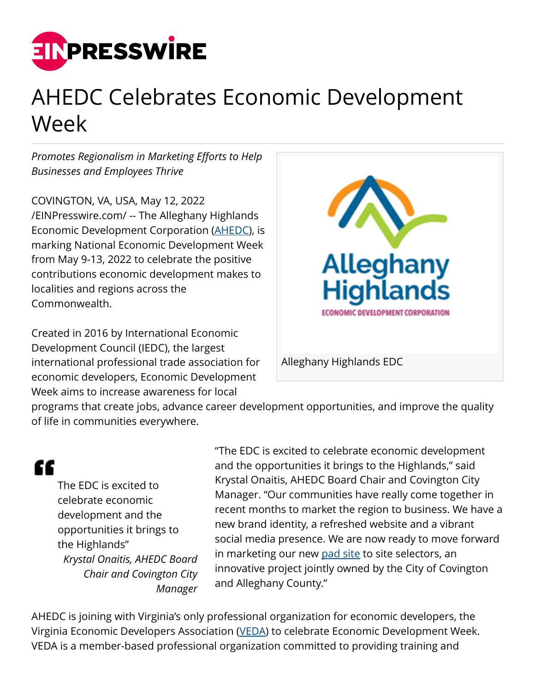

## AHEDC Celebrates Economic Development Week

*Promotes Regionalism in Marketing Efforts to Help Businesses and Employees Thrive*

COVINGTON, VA, USA, May 12, 2022 [/EINPresswire.com/](http://www.einpresswire.com) -- The Alleghany Highlands Economic Development Corporation ([AHEDC\)](https://www.ahedc.com/), is marking National Economic Development Week from May 9-13, 2022 to celebrate the positive contributions economic development makes to localities and regions across the Commonwealth.

Created in 2016 by International Economic Development Council (IEDC), the largest international professional trade association for economic developers, Economic Development Week aims to increase awareness for local



programs that create jobs, advance career development opportunities, and improve the quality of life in communities everywhere.

## W

The EDC is excited to celebrate economic development and the opportunities it brings to the Highlands" *Krystal Onaitis, AHEDC Board Chair and Covington City Manager* "The EDC is excited to celebrate economic development and the opportunities it brings to the Highlands," said Krystal Onaitis, AHEDC Board Chair and Covington City Manager. "Our communities have really come together in recent months to market the region to business. We have a new brand identity, a refreshed website and a vibrant social media presence. We are now ready to move forward in marketing our new [pad site](https://www.ahedc.com/newsroom/pad-ready-site-public-meeting-april-7-2022/) to site selectors, an innovative project jointly owned by the City of Covington and Alleghany County."

AHEDC is joining with Virginia's only professional organization for economic developers, the Virginia Economic Developers Association [\(VEDA](https://www.goveda.org/default.aspx)) to celebrate Economic Development Week. VEDA is a member-based professional organization committed to providing training and